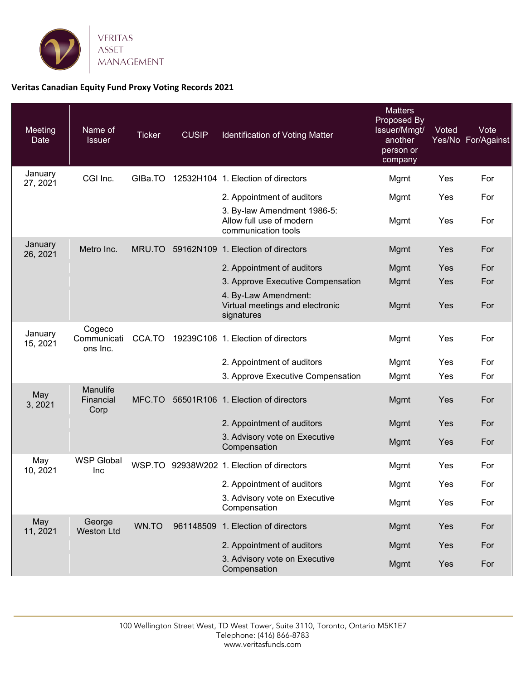

## **Veritas Canadian Equity Fund Proxy Voting Records 2021**

| <b>Meeting</b><br>Date | Name of<br><b>Issuer</b>          | <b>Ticker</b> | <b>CUSIP</b> | Identification of Voting Matter                                                | <b>Matters</b><br>Proposed By<br>Issuer/Mmgt/<br>another<br>person or<br>company | Voted | Vote<br>Yes/No For/Against |
|------------------------|-----------------------------------|---------------|--------------|--------------------------------------------------------------------------------|----------------------------------------------------------------------------------|-------|----------------------------|
| January<br>27, 2021    | CGI Inc.                          | GIBa.TO       |              | 12532H104 1. Election of directors                                             | Mgmt                                                                             | Yes   | For                        |
|                        |                                   |               |              | 2. Appointment of auditors                                                     | Mgmt                                                                             | Yes   | For                        |
|                        |                                   |               |              | 3. By-law Amendment 1986-5:<br>Allow full use of modern<br>communication tools | Mgmt                                                                             | Yes   | For                        |
| January<br>26, 2021    | Metro Inc.                        | MRU.TO        |              | 59162N109 1. Election of directors                                             | Mgmt                                                                             | Yes   | For                        |
|                        |                                   |               |              | 2. Appointment of auditors                                                     | Mgmt                                                                             | Yes   | For                        |
|                        |                                   |               |              | 3. Approve Executive Compensation                                              | Mgmt                                                                             | Yes   | For                        |
|                        |                                   |               |              | 4. By-Law Amendment:<br>Virtual meetings and electronic<br>signatures          | Mgmt                                                                             | Yes   | For                        |
| January<br>15, 2021    | Cogeco<br>Communicati<br>ons Inc. | CCA.TO        |              | 19239C106 1. Election of directors                                             | Mgmt                                                                             | Yes   | For                        |
|                        |                                   |               |              | 2. Appointment of auditors                                                     | Mgmt                                                                             | Yes   | For                        |
|                        |                                   |               |              | 3. Approve Executive Compensation                                              | Mgmt                                                                             | Yes   | For                        |
| May<br>3, 2021         | Manulife<br>Financial<br>Corp     | MFC.TO        |              | 56501R106 1. Election of directors                                             | Mgmt                                                                             | Yes   | For                        |
|                        |                                   |               |              | 2. Appointment of auditors                                                     | Mgmt                                                                             | Yes   | For                        |
|                        |                                   |               |              | 3. Advisory vote on Executive<br>Compensation                                  | Mgmt                                                                             | Yes   | For                        |
| May<br>10, 2021        | <b>WSP Global</b><br>Inc          |               |              | WSP.TO 92938W202 1. Election of directors                                      | Mgmt                                                                             | Yes   | For                        |
|                        |                                   |               |              | 2. Appointment of auditors                                                     | Mgmt                                                                             | Yes   | For                        |
|                        |                                   |               |              | 3. Advisory vote on Executive<br>Compensation                                  | Mgmt                                                                             | Yes   | For                        |
| May<br>11, 2021        | George<br><b>Weston Ltd</b>       | WN.TO         |              | 961148509 1. Election of directors                                             | Mgmt                                                                             | Yes   | For                        |
|                        |                                   |               |              | 2. Appointment of auditors                                                     | Mgmt                                                                             | Yes   | For                        |
|                        |                                   |               |              | 3. Advisory vote on Executive<br>Compensation                                  | Mgmt                                                                             | Yes   | For                        |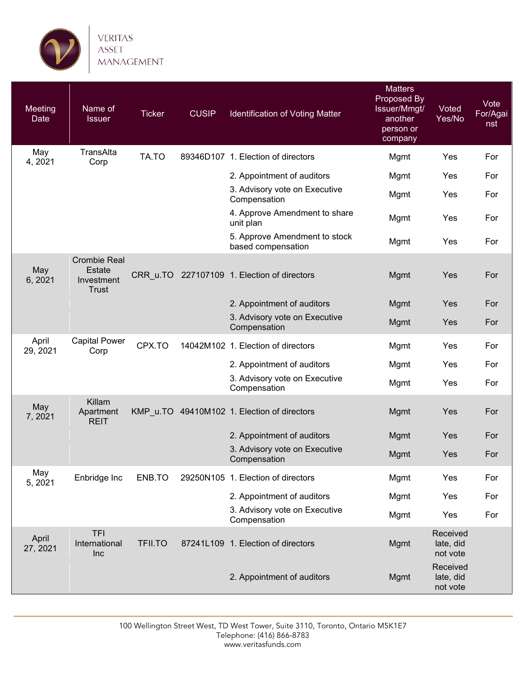

| Meeting<br>Date   | Name of<br><b>Issuer</b>                                           | <b>Ticker</b>  | <b>CUSIP</b> | Identification of Voting Matter                     | <b>Matters</b><br>Proposed By<br>Issuer/Mmgt/<br>another<br>person or<br>company | Voted<br>Yes/No                   | Vote<br>For/Agai<br>nst |
|-------------------|--------------------------------------------------------------------|----------------|--------------|-----------------------------------------------------|----------------------------------------------------------------------------------|-----------------------------------|-------------------------|
| May<br>4, 2021    | TransAlta<br>Corp                                                  | TA.TO          |              | 89346D107 1. Election of directors                  | Mgmt                                                                             | Yes                               | For                     |
|                   |                                                                    |                |              | 2. Appointment of auditors                          | Mgmt                                                                             | Yes                               | For                     |
|                   |                                                                    |                |              | 3. Advisory vote on Executive<br>Compensation       | Mgmt                                                                             | Yes                               | For                     |
|                   |                                                                    |                |              | 4. Approve Amendment to share<br>unit plan          | Mgmt                                                                             | Yes                               | For                     |
|                   |                                                                    |                |              | 5. Approve Amendment to stock<br>based compensation | Mgmt                                                                             | Yes                               | For                     |
| May<br>6, 2021    | <b>Crombie Real</b><br><b>Estate</b><br>Investment<br><b>Trust</b> | CRR u.TO       |              | 227107109 1. Election of directors                  | Mgmt                                                                             | Yes                               | For                     |
|                   |                                                                    |                |              | 2. Appointment of auditors                          | Mgmt                                                                             | Yes                               | For                     |
|                   |                                                                    |                |              | 3. Advisory vote on Executive<br>Compensation       | Mgmt                                                                             | Yes                               | For                     |
| April<br>29, 2021 | <b>Capital Power</b><br>Corp                                       | CPX.TO         |              | 14042M102 1. Election of directors                  | Mgmt                                                                             | Yes                               | For                     |
|                   |                                                                    |                |              | 2. Appointment of auditors                          | Mgmt                                                                             | Yes                               | For                     |
|                   |                                                                    |                |              | 3. Advisory vote on Executive<br>Compensation       | Mgmt                                                                             | Yes                               | For                     |
| May<br>7, 2021    | Killam<br>Apartment<br><b>REIT</b>                                 |                |              | KMP_u.TO 49410M102 1. Election of directors         | Mgmt                                                                             | Yes                               | For                     |
|                   |                                                                    |                |              | 2. Appointment of auditors                          | Mgmt                                                                             | Yes                               | For                     |
|                   |                                                                    |                |              | 3. Advisory vote on Executive<br>Compensation       | Mgmt                                                                             | Yes                               | For                     |
| May<br>5, 2021    | Enbridge Inc                                                       | ENB.TO         |              | 29250N105 1. Election of directors                  | Mgmt                                                                             | Yes                               | For                     |
|                   |                                                                    |                |              | 2. Appointment of auditors                          | Mgmt                                                                             | Yes                               | For                     |
|                   |                                                                    |                |              | 3. Advisory vote on Executive<br>Compensation       | Mgmt                                                                             | Yes                               | For                     |
| April<br>27, 2021 | <b>TFI</b><br>International<br>Inc                                 | <b>TFII.TO</b> |              | 87241L109 1. Election of directors                  | Mgmt                                                                             | Received<br>late, did<br>not vote |                         |
|                   |                                                                    |                |              | 2. Appointment of auditors                          | <b>Mgmt</b>                                                                      | Received<br>late, did<br>not vote |                         |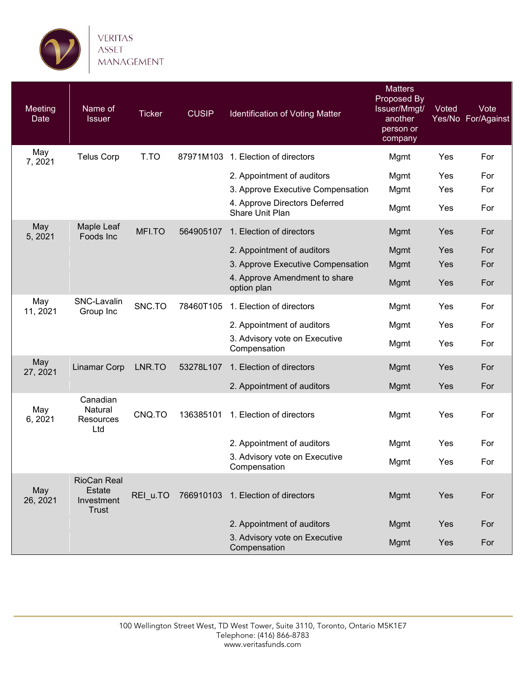

| Meeting<br>Date | Name of<br><b>Issuer</b>                            | <b>Ticker</b> | <b>CUSIP</b> | Identification of Voting Matter                  | <b>Matters</b><br>Proposed By<br>Issuer/Mmgt/<br>another<br>person or<br>company | Voted | Vote<br>Yes/No For/Against |
|-----------------|-----------------------------------------------------|---------------|--------------|--------------------------------------------------|----------------------------------------------------------------------------------|-------|----------------------------|
| May<br>7,2021   | <b>Telus Corp</b>                                   | T.TO          | 87971M103    | 1. Election of directors                         | Mgmt                                                                             | Yes   | For                        |
|                 |                                                     |               |              | 2. Appointment of auditors                       | Mgmt                                                                             | Yes   | For                        |
|                 |                                                     |               |              | 3. Approve Executive Compensation                | Mgmt                                                                             | Yes   | For                        |
|                 |                                                     |               |              | 4. Approve Directors Deferred<br>Share Unit Plan | Mgmt                                                                             | Yes   | For                        |
| May<br>5, 2021  | Maple Leaf<br>Foods Inc                             | MFI.TO        | 564905107    | 1. Election of directors                         | <b>Mgmt</b>                                                                      | Yes   | For                        |
|                 |                                                     |               |              | 2. Appointment of auditors                       | <b>Mgmt</b>                                                                      | Yes   | For                        |
|                 |                                                     |               |              | 3. Approve Executive Compensation                | <b>Mgmt</b>                                                                      | Yes   | For                        |
|                 |                                                     |               |              | 4. Approve Amendment to share<br>option plan     | Mgmt                                                                             | Yes   | For                        |
| May<br>11, 2021 | SNC-Lavalin<br>Group Inc                            | SNC.TO        | 78460T105    | 1. Election of directors                         | Mgmt                                                                             | Yes   | For                        |
|                 |                                                     |               |              | 2. Appointment of auditors                       | Mgmt                                                                             | Yes   | For                        |
|                 |                                                     |               |              | 3. Advisory vote on Executive<br>Compensation    | Mgmt                                                                             | Yes   | For                        |
| May<br>27, 2021 | <b>Linamar Corp</b>                                 | LNR.TO        | 53278L107    | 1. Election of directors                         | <b>Mgmt</b>                                                                      | Yes   | For                        |
|                 |                                                     |               |              | 2. Appointment of auditors                       | <b>Mgmt</b>                                                                      | Yes   | For                        |
| May<br>6, 2021  | Canadian<br>Natural<br>Resources<br>Ltd             | CNQ.TO        | 136385101    | 1. Election of directors                         | Mgmt                                                                             | Yes   | For                        |
|                 |                                                     |               |              | 2. Appointment of auditors                       | Mgmt                                                                             | Yes   | For                        |
|                 |                                                     |               |              | 3. Advisory vote on Executive<br>Compensation    | Mgmt                                                                             | Yes   | For                        |
| May<br>26, 2021 | RioCan Real<br>Estate<br>Investment<br><b>Trust</b> | REI u.TO      |              | 766910103 1. Election of directors               | <b>Mgmt</b>                                                                      | Yes   | For                        |
|                 |                                                     |               |              | 2. Appointment of auditors                       | Mgmt                                                                             | Yes   | For                        |
|                 |                                                     |               |              | 3. Advisory vote on Executive<br>Compensation    | <b>Mgmt</b>                                                                      | Yes   | For                        |